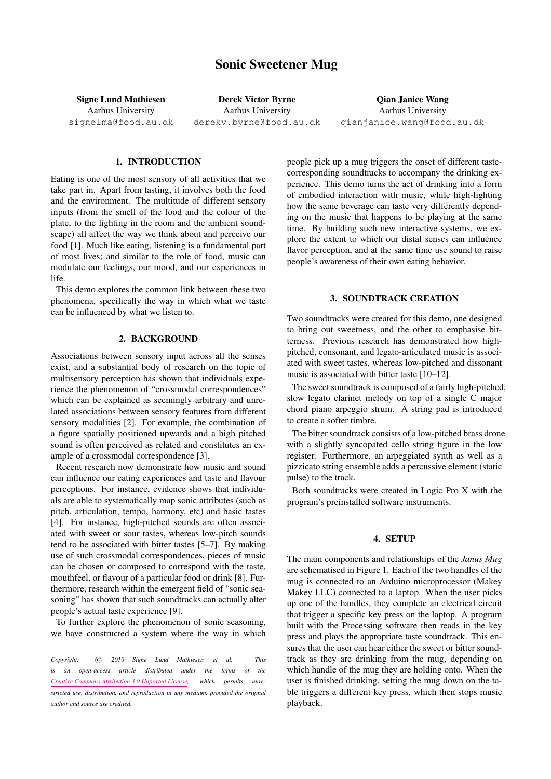# Sonic Sweetener Mug

Signe Lund Mathiesen Aarhus University [signelma@food.au.dk](mailto:author1@smcnetwork.org)

Derek Victor Byrne Aarhus University [derekv.byrne@food.au.dk](mailto:author2@smcnetwork.org)

Qian Janice Wang Aarhus University [qianjanice.wang@food.au.dk](mailto:author3@smcnetwork.org)

## 1. INTRODUCTION

Eating is one of the most sensory of all activities that we take part in. Apart from tasting, it involves both the food and the environment. The multitude of different sensory inputs (from the smell of the food and the colour of the plate, to the lighting in the room and the ambient soundscape) all affect the way we think about and perceive our food [\[1\]](#page-1-0). Much like eating, listening is a fundamental part of most lives; and similar to the role of food, music can modulate our feelings, our mood, and our experiences in life.

This demo explores the common link between these two phenomena, specifically the way in which what we taste can be influenced by what we listen to.

#### 2. BACKGROUND

Associations between sensory input across all the senses exist, and a substantial body of research on the topic of multisensory perception has shown that individuals experience the phenomenon of "crossmodal correspondences" which can be explained as seemingly arbitrary and unrelated associations between sensory features from different sensory modalities [\[2\]](#page-1-1). For example, the combination of a figure spatially positioned upwards and a high pitched sound is often perceived as related and constitutes an example of a crossmodal correspondence [\[3\]](#page-1-2).

Recent research now demonstrate how music and sound can influence our eating experiences and taste and flavour perceptions. For instance, evidence shows that individuals are able to systematically map sonic attributes (such as pitch, articulation, tempo, harmony, etc) and basic tastes [\[4\]](#page-1-3). For instance, high-pitched sounds are often associated with sweet or sour tastes, whereas low-pitch sounds tend to be associated with bitter tastes [\[5–](#page-1-4)[7\]](#page-1-5). By making use of such crossmodal correspondences, pieces of music can be chosen or composed to correspond with the taste, mouthfeel, or flavour of a particular food or drink [\[8\]](#page-1-6). Furthermore, research within the emergent field of "sonic seasoning" has shown that such soundtracks can actually alter people's actual taste experience [\[9\]](#page-1-7).

To further explore the phenomenon of sonic seasoning, we have constructed a system where the way in which

Copyright: 
C 2019 Signe Lund Mathiesen et al. This *is an open-access article distributed under the terms of the [Creative Commons Attribution 3.0 Unported License,](http://creativecommons.org/licenses/by/3.0/) which permits unrestricted use, distribution, and reproduction in any medium, provided the original author and source are credited.*

people pick up a mug triggers the onset of different tastecorresponding soundtracks to accompany the drinking experience. This demo turns the act of drinking into a form of embodied interaction with music, while high-lighting how the same beverage can taste very differently depending on the music that happens to be playing at the same time. By building such new interactive systems, we explore the extent to which our distal senses can influence flavor perception, and at the same time use sound to raise people's awareness of their own eating behavior.

## 3. SOUNDTRACK CREATION

Two soundtracks were created for this demo, one designed to bring out sweetness, and the other to emphasise bitterness. Previous research has demonstrated how highpitched, consonant, and legato-articulated music is associated with sweet tastes, whereas low-pitched and dissonant music is associated with bitter taste [\[10–](#page-1-8)[12\]](#page-1-9).

The sweet soundtrack is composed of a fairly high-pitched, slow legato clarinet melody on top of a single C major chord piano arpeggio strum. A string pad is introduced to create a softer timbre.

The bitter soundtrack consists of a low-pitched brass drone with a slightly syncopated cello string figure in the low register. Furthermore, an arpeggiated synth as well as a pizzicato string ensemble adds a percussive element (static pulse) to the track.

Both soundtracks were created in Logic Pro X with the program's preinstalled software instruments.

### 4. SETUP

The main components and relationships of the *Janus Mug* are schematised in Figure 1. Each of the two handles of the mug is connected to an Arduino microprocessor (Makey Makey LLC) connected to a laptop. When the user picks up one of the handles, they complete an electrical circuit that trigger a specific key press on the laptop. A program built with the Processing software then reads in the key press and plays the appropriate taste soundtrack. This ensures that the user can hear either the sweet or bitter soundtrack as they are drinking from the mug, depending on which handle of the mug they are holding onto. When the user is finished drinking, setting the mug down on the table triggers a different key press, which then stops music playback.